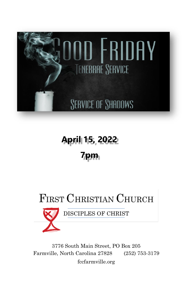

# **April 15, 2022 7pm**

# **FIRST CHRISTIAN CHURCH**



DISCIPLES OF CHRIST

3776 South Main Street, PO Box 205 Farmville, North Carolina 27828 (252) 753-3179 fccfarmville.org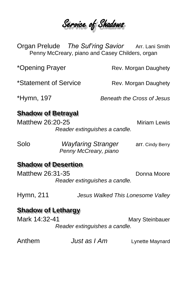Service of Shadows

Organ Prelude *The Suf'ring Savior* Arr. Lani Smith Penny McCreary, piano and Casey Childers, organ

\*Opening Prayer **Rev. Morgan Daughety** 

\*Statement of Service Rev. Morgan Daughety

\*Hymn, 197 *Beneath the Cross of Jesus*

## **Shadow of Betrayal**

Matthew 26:20-25 Miriam Lewis *Reader extinguishes a candle.*

Solo *Wayfaring Stranger* arr. Cindy Berry  *Penny McCreary, piano*

### **Shadow of Desertion**

Matthew 26:31-35 Donna Moore *Reader extinguishes a candle.*

Hymn, 211 *Jesus Walked This Lonesome Valley*

### **Shadow of Lethargy**

Mark 14:32-41 Mary Steinbauer *Reader extinguishes a candle.*

Anthem *Just as I Am* Lynette Maynard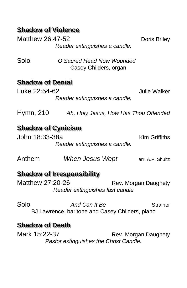# **Shadow of Violence**

Matthew 26:47-52 Doris Briley *Reader extinguishes a candle.* Solo *O Sacred Head Now Wounded* Casey Childers, organ **Shadow of Denial** Luke 22:54-62 Julie Walker *Reader extinguishes a candle.* Hymn, 210 Ah, Holy Jesus, How Has Thou Offended

#### **Shadow of Cynicism** John 18:33-38a Kim Griffiths *Reader extinguishes a candle.*

Anthem *When Jesus Wept* arr. A.F. Shultz

#### **Shadow of Irresponsibility**

Matthew 27:20-26 Rev. Morgan Daughety *Reader extinguishes last candle*

Solo *And Can It Be* Strainer BJ Lawrence, baritone and Casey Childers, piano

### **Shadow of Death**

Mark 15:22-37 Rev. Morgan Daughety *Pastor extinguishes the Christ Candle.*